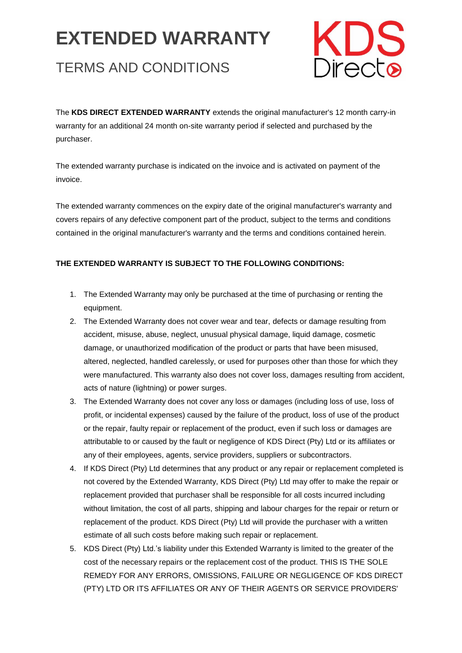# **EXTENDED WARRANTY**

# TERMS AND CONDITIONS



The **KDS DIRECT EXTENDED WARRANTY** extends the original manufacturer's 12 month carry-in warranty for an additional 24 month on-site warranty period if selected and purchased by the purchaser.

The extended warranty purchase is indicated on the invoice and is activated on payment of the invoice.

The extended warranty commences on the expiry date of the original manufacturer's warranty and covers repairs of any defective component part of the product, subject to the terms and conditions contained in the original manufacturer's warranty and the terms and conditions contained herein.

## **THE EXTENDED WARRANTY IS SUBJECT TO THE FOLLOWING CONDITIONS:**

- 1. The Extended Warranty may only be purchased at the time of purchasing or renting the equipment.
- 2. The Extended Warranty does not cover wear and tear, defects or damage resulting from accident, misuse, abuse, neglect, unusual physical damage, liquid damage, cosmetic damage, or unauthorized modification of the product or parts that have been misused, altered, neglected, handled carelessly, or used for purposes other than those for which they were manufactured. This warranty also does not cover loss, damages resulting from accident, acts of nature (lightning) or power surges.
- 3. The Extended Warranty does not cover any loss or damages (including loss of use, loss of profit, or incidental expenses) caused by the failure of the product, loss of use of the product or the repair, faulty repair or replacement of the product, even if such loss or damages are attributable to or caused by the fault or negligence of KDS Direct (Pty) Ltd or its affiliates or any of their employees, agents, service providers, suppliers or subcontractors.
- 4. If KDS Direct (Pty) Ltd determines that any product or any repair or replacement completed is not covered by the Extended Warranty, KDS Direct (Pty) Ltd may offer to make the repair or replacement provided that purchaser shall be responsible for all costs incurred including without limitation, the cost of all parts, shipping and labour charges for the repair or return or replacement of the product. KDS Direct (Pty) Ltd will provide the purchaser with a written estimate of all such costs before making such repair or replacement.
- 5. KDS Direct (Pty) Ltd.'s liability under this Extended Warranty is limited to the greater of the cost of the necessary repairs or the replacement cost of the product. THIS IS THE SOLE REMEDY FOR ANY ERRORS, OMISSIONS, FAILURE OR NEGLIGENCE OF KDS DIRECT (PTY) LTD OR ITS AFFILIATES OR ANY OF THEIR AGENTS OR SERVICE PROVIDERS'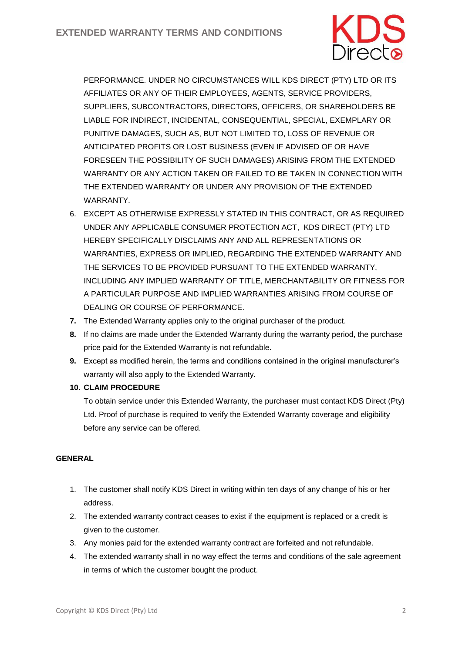

PERFORMANCE. UNDER NO CIRCUMSTANCES WILL KDS DIRECT (PTY) LTD OR ITS AFFILIATES OR ANY OF THEIR EMPLOYEES, AGENTS, SERVICE PROVIDERS, SUPPLIERS, SUBCONTRACTORS, DIRECTORS, OFFICERS, OR SHAREHOLDERS BE LIABLE FOR INDIRECT, INCIDENTAL, CONSEQUENTIAL, SPECIAL, EXEMPLARY OR PUNITIVE DAMAGES, SUCH AS, BUT NOT LIMITED TO, LOSS OF REVENUE OR ANTICIPATED PROFITS OR LOST BUSINESS (EVEN IF ADVISED OF OR HAVE FORESEEN THE POSSIBILITY OF SUCH DAMAGES) ARISING FROM THE EXTENDED WARRANTY OR ANY ACTION TAKEN OR FAILED TO BE TAKEN IN CONNECTION WITH THE EXTENDED WARRANTY OR UNDER ANY PROVISION OF THE EXTENDED WARRANTY.

- 6. EXCEPT AS OTHERWISE EXPRESSLY STATED IN THIS CONTRACT, OR AS REQUIRED UNDER ANY APPLICABLE CONSUMER PROTECTION ACT, KDS DIRECT (PTY) LTD HEREBY SPECIFICALLY DISCLAIMS ANY AND ALL REPRESENTATIONS OR WARRANTIES, EXPRESS OR IMPLIED, REGARDING THE EXTENDED WARRANTY AND THE SERVICES TO BE PROVIDED PURSUANT TO THE EXTENDED WARRANTY, INCLUDING ANY IMPLIED WARRANTY OF TITLE, MERCHANTABILITY OR FITNESS FOR A PARTICULAR PURPOSE AND IMPLIED WARRANTIES ARISING FROM COURSE OF DEALING OR COURSE OF PERFORMANCE.
- **7.** The Extended Warranty applies only to the original purchaser of the product.
- **8.** If no claims are made under the Extended Warranty during the warranty period, the purchase price paid for the Extended Warranty is not refundable.
- **9.** Except as modified herein, the terms and conditions contained in the original manufacturer's warranty will also apply to the Extended Warranty.

### **10. CLAIM PROCEDURE**

To obtain service under this Extended Warranty, the purchaser must contact KDS Direct (Pty) Ltd. Proof of purchase is required to verify the Extended Warranty coverage and eligibility before any service can be offered.

### **GENERAL**

- 1. The customer shall notify KDS Direct in writing within ten days of any change of his or her address.
- 2. The extended warranty contract ceases to exist if the equipment is replaced or a credit is given to the customer.
- 3. Any monies paid for the extended warranty contract are forfeited and not refundable.
- 4. The extended warranty shall in no way effect the terms and conditions of the sale agreement in terms of which the customer bought the product.